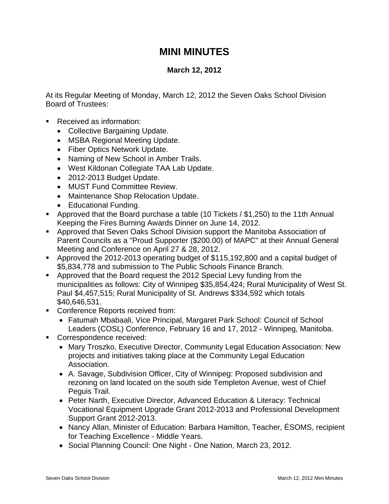## **MINI MINUTES**

## **March 12, 2012**

At its Regular Meeting of Monday, March 12, 2012 the Seven Oaks School Division Board of Trustees:

- Received as information:
	- Collective Bargaining Update.
	- MSBA Regional Meeting Update.
	- Fiber Optics Network Update.
	- Naming of New School in Amber Trails.
	- West Kildonan Collegiate TAA Lab Update.
	- 2012-2013 Budget Update.
	- MUST Fund Committee Review.
	- Maintenance Shop Relocation Update.
	- Educational Funding.
- Approved that the Board purchase a table (10 Tickets / \$1,250) to the 11th Annual Keeping the Fires Burning Awards Dinner on June 14, 2012.
- Approved that Seven Oaks School Division support the Manitoba Association of Parent Councils as a "Proud Supporter (\$200.00) of MAPC" at their Annual General Meeting and Conference on April 27 & 28, 2012.
- Approved the 2012-2013 operating budget of \$115,192,800 and a capital budget of \$5,834,778 and submission to The Public Schools Finance Branch.
- Approved that the Board request the 2012 Special Levy funding from the municipalities as follows: City of Winnipeg \$35,854,424; Rural Municipality of West St. Paul \$4,457,515; Rural Municipality of St. Andrews \$334,592 which totals \$40,646,531.
- **Conference Reports received from:** 
	- Fatumah Mbabaali, Vice Principal, Margaret Park School: Council of School Leaders (COSL) Conference, February 16 and 17, 2012 - Winnipeg, Manitoba.
- Correspondence received:
	- Mary Troszko, Executive Director, Community Legal Education Association: New projects and initiatives taking place at the Community Legal Education Association.
	- A. Savage, Subdivision Officer, City of Winnipeg: Proposed subdivision and rezoning on land located on the south side Templeton Avenue, west of Chief Peguis Trail.
	- Peter Narth, Executive Director, Advanced Education & Literacy: Technical Vocational Equipment Upgrade Grant 2012-2013 and Professional Development Support Grant 2012-2013.
	- Nancy Allan, Minister of Education: Barbara Hamilton, Teacher, ÉSOMS, recipient for Teaching Excellence - Middle Years.
	- Social Planning Council: One Night One Nation, March 23, 2012.